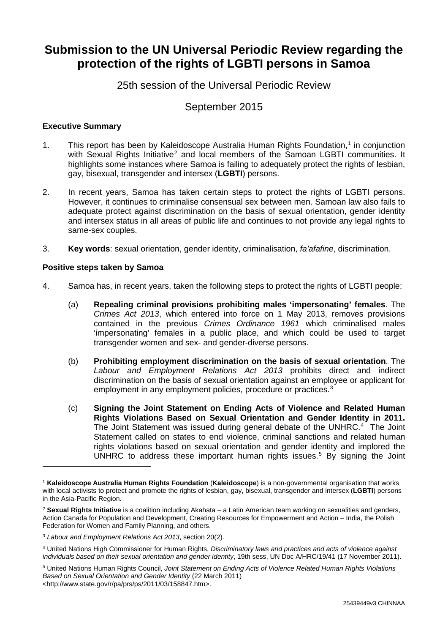# **Submission to the UN Universal Periodic Review regarding the protection of the rights of LGBTI persons in Samoa**

## 25th session of the Universal Periodic Review

## September 2015

#### **Executive Summary**

- [1](#page-0-0). This report has been by Kaleidoscope Australia Human Rights Foundation,<sup>1</sup> in conjunction with Sexual Rights Initiative<sup>[2](#page-0-1)</sup> and local members of the Samoan LGBTI communities. It highlights some instances where Samoa is failing to adequately protect the rights of lesbian, gay, bisexual, transgender and intersex (**LGBTI**) persons.
- and intersex status in all areas of public life and continues to not provide any legal rights to 2. In recent years, Samoa has taken certain steps to protect the rights of LGBTI persons. However, it continues to criminalise consensual sex between men. Samoan law also fails to adequate protect against discrimination on the basis of sexual orientation, gender identity same-sex couples.
- 3. **Key words**: sexual orientation, gender identity, criminalisation, *fa'afafine*, discrimination.

#### **Positive steps taken by Samoa**

-

- 4. Samoa has, in recent years, taken the following steps to protect the rights of LGBTI people:
	- (a) **Repealing criminal provisions prohibiting males 'impersonating' females**. The *Crimes Act 2013*, which entered into force on 1 May 2013, removes provisions contained in the previous *Crimes Ordinance 1961* which criminalised males 'impersonating' females in a public place, and which could be used to target transgender women and sex- and gender-diverse persons.
	- (b) **Prohibiting employment discrimination on the basis of sexual orientation**. The *Labour and Employment Relations Act 2013* prohibits direct and indirect discrimination on the basis of sexual orientation against an employee or applicant for employment in any employment policies, procedure or practices.<sup>[3](#page-0-2)</sup>
	- (c) **Signing the Joint Statement on Ending Acts of Violence and Related Human Rights Violations Based on Sexual Orientation and Gender Identity in 2011.**  The Joint Statement was issued during general debate of the UNHRC.<sup>[4](#page-0-3)</sup> The Joint Statement called on states to end violence, criminal sanctions and related human rights violations based on sexual orientation and gender identity and implored the UNHRC to address these important human rights issues.[5](#page-0-4) By signing the Joint

<span id="page-0-0"></span><sup>1</sup> **Kaleidoscope Australia Human Rights Foundation** (**Kaleidoscope**) is a non-governmental organisation that works with local activists to protect and promote the rights of lesbian, gay, bisexual, transgender and intersex (**LGBTI**) persons in the Asia-Pacific Region.

<span id="page-0-1"></span><sup>2</sup> **Sexual Rights Initiative** is a coalition including Akahata – a Latin American team working on sexualities and genders, Action Canada for Population and Development, Creating Resources for Empowerment and Action – India, the Polish Federation for Women and Family Planning, and others.

<span id="page-0-2"></span><sup>3</sup> *Labour and Employment Relations Act 2013*, section 20(2).

<span id="page-0-3"></span><sup>4</sup> United Nations High Commissioner for Human Rights, *Discriminatory laws and practices and acts of violence against individuals based on their sexual orientation and gender identity*, 19th sess, UN Doc A/HRC/19/41 (17 November 2011).

<span id="page-0-4"></span><sup>5</sup> United Nations Human Rights Council, *Joint Statement on Ending Acts of Violence Related Human Rights Violations Based on Sexual Orientation and Gender Identity* (22 March 2011) <http://www.state.gov/r/pa/prs/ps/2011/03/158847.htm>.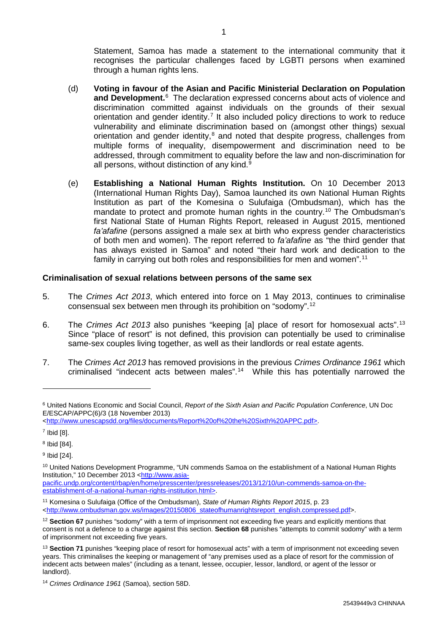Statement, Samoa has made a statement to the international community that it recognises the particular challenges faced by LGBTI persons when examined through a human rights lens.

- (d) **Voting in favour of the Asian and Pacific Ministerial Declaration on Population and Development.**[6](#page-1-0) The declaration expressed concerns about acts of violence and discrimination committed against individuals on the grounds of their sexual orientation and gender identity.<sup>[7](#page-1-1)</sup> It also included policy directions to work to reduce vulnerability and eliminate discrimination based on (amongst other things) sexual orientation and gender identity, $8$  and noted that despite progress, challenges from multiple forms of inequality, disempowerment and discrimination need to be addressed, through commitment to equality before the law and non-discrimination for all persons, without distinction of any kind.<sup>[9](#page-1-3)</sup>
- first National State of Human Rights Report, released in August 2015, mentioned (e) **Establishing a National Human Rights Institution.** On 10 December 2013 (International Human Rights Day), Samoa launched its own National Human Rights Institution as part of the Komesina o Sulufaiga (Ombudsman), which has the mandate to protect and promote human rights in the country.<sup>[10](#page-1-4)</sup> The Ombudsman's *fa'afafine* (persons assigned a male sex at birth who express gender characteristics of both men and women). The report referred to *fa'afafine* as "the third gender that has always existed in Samoa" and noted "their hard work and dedication to the family in carrying out both roles and responsibilities for men and women".[11](#page-1-5)

#### **Criminalisation of sexual relations between persons of the same sex**

- 5. The *Crimes Act 2013*, which entered into force on 1 May 2013, continues to criminalise consensual sex between men through its prohibition on "sodomy". [12](#page-1-6)
- 6. The *Crimes Act 2013* also punishes "keeping [a] place of resort for homosexual acts". [13](#page-1-7) Since "place of resort" is not defined, this provision can potentially be used to criminalise same-sex couples living together, as well as their landlords or real estate agents.
- 7. The *Crimes Act 2013* has removed provisions in the previous *Crimes Ordinance 1961* which criminalised "indecent acts between males".[14](#page-1-8) While this has potentially narrowed the

-

[pacific.undp.org/content/rbap/en/home/presscenter/pressreleases/2013/12/10/un-commends-samoa-on-the](http://www.asia-pacific.undp.org/content/rbap/en/home/presscenter/pressreleases/2013/12/10/un-commends-samoa-on-the-establishment-of-a-national-human-rights-institution.html)[establishment-of-a-national-human-rights-institution.html>](http://www.asia-pacific.undp.org/content/rbap/en/home/presscenter/pressreleases/2013/12/10/un-commends-samoa-on-the-establishment-of-a-national-human-rights-institution.html).

<span id="page-1-0"></span><sup>6</sup> United Nations Economic and Social Council, *Report of the Sixth Asian and Pacific Population Conference*, UN Doc E/ESCAP/APPC(6)/3 (18 November 2013)

[<sup>&</sup>lt;http://www.unescapsdd.org/files/documents/Report%20of%20the%20Sixth%20APPC.pdf>](http://www.unescapsdd.org/files/documents/Report%20of%20the%20Sixth%20APPC.pdf).

<span id="page-1-1"></span><sup>7</sup> Ibid [8].

<span id="page-1-2"></span><sup>8</sup> Ibid [84].

<span id="page-1-3"></span><sup>9</sup> Ibid [24].

<span id="page-1-4"></span><sup>&</sup>lt;sup>10</sup> United Nations Development Programme, "UN commends Samoa on the establishment of a National Human Rights Institution," 10 December 2013 [<http://www.asia-](http://www.asia-pacific.undp.org/content/rbap/en/home/presscenter/pressreleases/2013/12/10/un-commends-samoa-on-the-establishment-of-a-national-human-rights-institution.html)

<span id="page-1-5"></span><sup>11</sup> Komesina o Sulufaiga (Office of the Ombudsman), *State of Human Rights Report 2015*, p. 23 [<http://www.ombudsman.gov.ws/images/20150806\\_stateofhumanrightsreport\\_english.compressed.pdf>](http://www.ombudsman.gov.ws/images/20150806_stateofhumanrightsreport_english.compressed.pdf).

<span id="page-1-6"></span><sup>&</sup>lt;sup>12</sup> Section 67 punishes "sodomy" with a term of imprisonment not exceeding five years and explicitly mentions that consent is not a defence to a charge against this section. **Section 68** punishes "attempts to commit sodomy" with a term of imprisonment not exceeding five years.

<span id="page-1-7"></span><sup>&</sup>lt;sup>13</sup> Section 71 punishes "keeping place of resort for homosexual acts" with a term of imprisonment not exceeding seven years. This criminalises the keeping or management of "any premises used as a place of resort for the commission of indecent acts between males" (including as a tenant, lessee, occupier, lessor, landlord, or agent of the lessor or landlord).

<span id="page-1-8"></span><sup>14</sup> *Crimes Ordinance 1961* (Samoa), section 58D.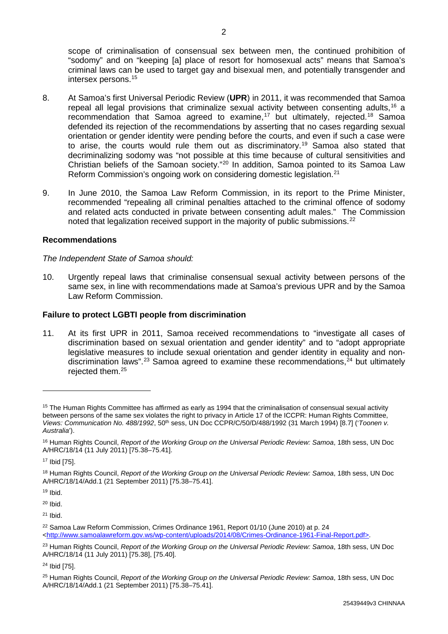scope of criminalisation of consensual sex between men, the continued prohibition of "sodomy" and on "keeping [a] place of resort for homosexual acts" means that Samoa's criminal laws can be used to target gay and bisexual men, and potentially transgender and intersex persons. [15](#page-2-0)

- 8. At Samoa's first Universal Periodic Review (**UPR**) in 2011, it was recommended that Samoa repeal all legal provisions that criminalize sexual activity between consenting adults,<sup>[16](#page-2-1)</sup> a recommendation that Samoa agreed to examine,<sup>[17](#page-2-2)</sup> but ultimately, rejected.<sup>[18](#page-2-3)</sup> Samoa defended its rejection of the recommendations by asserting that no cases regarding sexual orientation or gender identity were pending before the courts, and even if such a case were to arise, the courts would rule them out as discriminatory.[19](#page-2-4) Samoa also stated that decriminalizing sodomy was "not possible at this time because of cultural sensitivities and Christian beliefs of the Samoan society."[20](#page-2-5) In addition, Samoa pointed to its Samoa Law Reform Commission's ongoing work on considering domestic legislation.[21](#page-2-6)
- noted that legalization received support in the majority of public submissions.<sup>[22](#page-2-7)</sup> 9. In June 2010, the Samoa Law Reform Commission, in its report to the Prime Minister, recommended "repealing all criminal penalties attached to the criminal offence of sodomy and related acts conducted in private between consenting adult males." The Commission

#### **Recommendations**

#### *The Independent State of Samoa should:*

10. Urgently repeal laws that criminalise consensual sexual activity between persons of the same sex, in line with recommendations made at Samoa's previous UPR and by the Samoa Law Reform Commission.

#### **Failure to protect LGBTI people from discrimination**

11. At its first UPR in 2011, Samoa received recommendations to "investigate all cases of discrimination based on sexual orientation and gender identity" and to "adopt appropriate legislative measures to include sexual orientation and gender identity in equality and non-discrimination laws".<sup>[23](#page-2-8)</sup> Samoa agreed to examine these recommendations.<sup>[24](#page-2-9)</sup> but ultimately rejected them. [25](#page-2-10)

-

<span id="page-2-5"></span> $20$  Ibid.

<span id="page-2-6"></span> $21$  Ibid.

<span id="page-2-0"></span><sup>&</sup>lt;sup>15</sup> The Human Rights Committee has affirmed as early as 1994 that the criminalisation of consensual sexual activity between persons of the same sex violates the right to privacy in Article 17 of the ICCPR: Human Rights Committee, *Views: Communication No. 488/1992*, 50th sess, UN Doc CCPR/C/50/D/488/1992 (31 March 1994) [8.7] ('*Toonen v. Australia*').

<span id="page-2-1"></span><sup>16</sup> Human Rights Council, *Report of the Working Group on the Universal Periodic Review: Samoa*, 18th sess, UN Doc A/HRC/18/14 (11 July 2011) [75.38–75.41].

<span id="page-2-2"></span><sup>17</sup> Ibid [75].

<span id="page-2-3"></span><sup>18</sup> Human Rights Council, *Report of the Working Group on the Universal Periodic Review: Samoa*, 18th sess, UN Doc A/HRC/18/14/Add.1 (21 September 2011) [75.38–75.41].

<span id="page-2-4"></span> $19$  Ibid.

<span id="page-2-7"></span><sup>&</sup>lt;sup>22</sup> Samoa Law Reform Commission, Crimes Ordinance 1961, Report 01/10 (June 2010) at p. 24 [<http://www.samoalawreform.gov.ws/wp-content/uploads/2014/08/Crimes-Ordinance-1961-Final-Report.pdf>](http://www.samoalawreform.gov.ws/wp-content/uploads/2014/08/Crimes-Ordinance-1961-Final-Report.pdf).

<span id="page-2-8"></span><sup>23</sup> Human Rights Council, *Report of the Working Group on the Universal Periodic Review: Samoa*, 18th sess, UN Doc A/HRC/18/14 (11 July 2011) [75.38], [75.40].

<span id="page-2-9"></span><sup>24</sup> Ibid [75].

<span id="page-2-10"></span><sup>25</sup> Human Rights Council, *Report of the Working Group on the Universal Periodic Review: Samoa*, 18th sess, UN Doc A/HRC/18/14/Add.1 (21 September 2011) [75.38–75.41].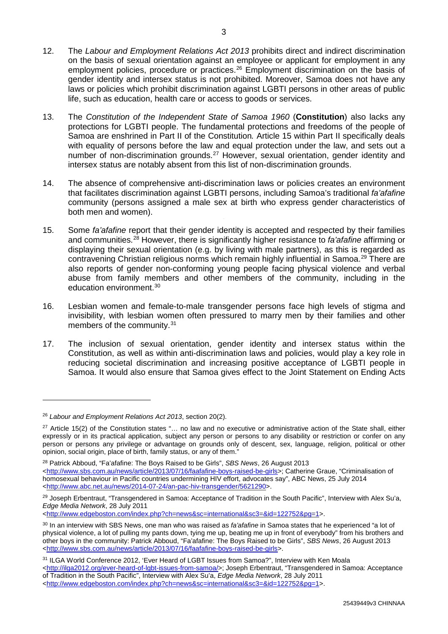- 12. The *Labour and Employment Relations Act 2013* prohibits direct and indirect discrimination on the basis of sexual orientation against an employee or applicant for employment in any employment policies, procedure or practices.<sup>[26](#page-3-0)</sup> Employment discrimination on the basis of gender identity and intersex status is not prohibited. Moreover, Samoa does not have any laws or policies which prohibit discrimination against LGBTI persons in other areas of public life, such as education, health care or access to goods or services.
- 13. The *Constitution of the Independent State of Samoa 1960* (**Constitution**) also lacks any protections for LGBTI people. The fundamental protections and freedoms of the people of Samoa are enshrined in Part II of the Constitution*.* Article 15 within Part II specifically deals with equality of persons before the law and equal protection under the law, and sets out a number of non-discrimination grounds.<sup>[27](#page-3-1)</sup> However, sexual orientation, gender identity and intersex status are notably absent from this list of non-discrimination grounds.
- 14. The absence of comprehensive anti-discrimination laws or policies creates an environment that facilitates discrimination against LGBTI persons, including Samoa's traditional *fa'afafine* community (persons assigned a male sex at birth who express gender characteristics of both men and women).
- 15. Some *fa'afafine* report that their gender identity is accepted and respected by their families and communities.[28](#page-3-2) However, there is significantly higher resistance to *fa'afafine* affirming or displaying their sexual orientation (e.g. by living with male partners), as this is regarded as contravening Christian religious norms which remain highly influential in Samoa.<sup>[29](#page-3-3)</sup> There are also reports of gender non-conforming young people facing physical violence and verbal abuse from family members and other members of the community, including in the education environment.<sup>[30](#page-3-4)</sup>
- 16. Lesbian women and female-to-male transgender persons face high levels of stigma and invisibility, with lesbian women often pressured to marry men by their families and other members of the community.<sup>[31](#page-3-5)</sup>
- 17. The inclusion of sexual orientation, gender identity and intersex status within the Constitution, as well as within anti-discrimination laws and policies, would play a key role in reducing societal discrimination and increasing positive acceptance of LGBTI people in Samoa. It would also ensure that Samoa gives effect to the Joint Statement on Ending Acts

-

<span id="page-3-2"></span><sup>28</sup> Patrick Abboud, "Fa'afafine: The Boys Raised to be Girls", *SBS News*, 26 August 2013 [<http://www.sbs.com.au/news/article/2013/07/16/faafafine-boys-raised-be-girls>](http://www.sbs.com.au/news/article/2013/07/16/faafafine-boys-raised-be-girls); Catherine Graue, "Criminalisation of homosexual behaviour in Pacific countries undermining HIV effort, advocates say", ABC News, 25 July 2014 [<http://www.abc.net.au/news/2014-07-24/an-pac-hiv-transgender/5621290>](http://www.abc.net.au/news/2014-07-24/an-pac-hiv-transgender/5621290).

[<http://www.edgeboston.com/index.php?ch=news&sc=international&sc3=&id=122752&pg=1>](http://www.edgeboston.com/index.php?ch=news&sc=international&sc3=&id=122752&pg=1).

<span id="page-3-0"></span><sup>26</sup> *Labour and Employment Relations Act 2013*, section 20(2).

<span id="page-3-1"></span><sup>&</sup>lt;sup>27</sup> Article 15(2) of the Constitution states "... no law and no executive or administrative action of the State shall, either expressly or in its practical application, subject any person or persons to any disability or restriction or confer on any person or persons any privilege or advantage on grounds only of descent, sex, language, religion, political or other opinion, social origin, place of birth, family status, or any of them."

<span id="page-3-3"></span><sup>&</sup>lt;sup>29</sup> Joseph Erbentraut, "Transgendered in Samoa: Acceptance of Tradition in the South Pacific", Interview with Alex Su'a, *Edge Media Network*, 28 July 2011

<span id="page-3-4"></span><sup>30</sup> In an interview with SBS News, one man who was raised as *fa'afafine* in Samoa states that he experienced "a lot of physical violence, a lot of pulling my pants down, tying me up, beating me up in front of everybody" from his brothers and other boys in the community: Patrick Abboud, "Fa'afafine: The Boys Raised to be Girls", *SBS News*, 26 August 2013 [<http://www.sbs.com.au/news/article/2013/07/16/faafafine-boys-raised-be-girls>](http://www.sbs.com.au/news/article/2013/07/16/faafafine-boys-raised-be-girls).

<span id="page-3-5"></span><sup>31</sup> ILGA World Conference 2012, 'Ever Heard of LGBT Issues from Samoa?", Interview with Ken Moala [<http://ilga2012.org/ever-heard-of-lgbt-issues-from-samoa/>](http://ilga2012.org/ever-heard-of-lgbt-issues-from-samoa/); Joseph Erbentraut, "Transgendered in Samoa: Acceptance of Tradition in the South Pacific", Interview with Alex Su'a, *Edge Media Network*, 28 July 2011 [<http://www.edgeboston.com/index.php?ch=news&sc=international&sc3=&id=122752&pg=1>](http://www.edgeboston.com/index.php?ch=news&sc=international&sc3=&id=122752&pg=1).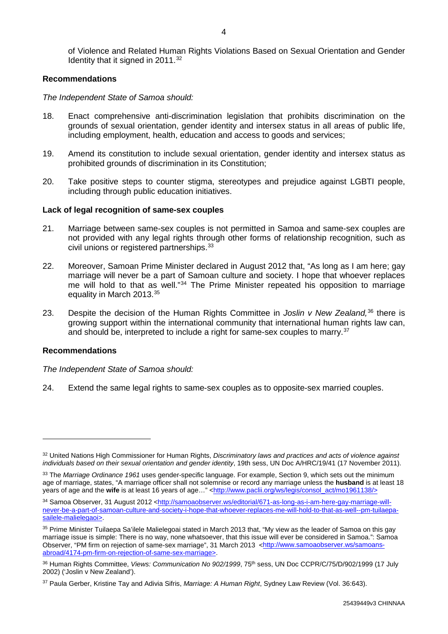of Violence and Related Human Rights Violations Based on Sexual Orientation and Gender Identity that it signed in  $2011.^{32}$  $2011.^{32}$  $2011.^{32}$ 

#### **Recommendations**

*The Independent State of Samoa should:*

- 18. Enact comprehensive anti-discrimination legislation that prohibits discrimination on the grounds of sexual orientation, gender identity and intersex status in all areas of public life, including employment, health, education and access to goods and services;
- 19. Amend its constitution to include sexual orientation, gender identity and intersex status as prohibited grounds of discrimination in its Constitution;
- 20. Take positive steps to counter stigma, stereotypes and prejudice against LGBTI people, including through public education initiatives.

#### **Lack of legal recognition of same-sex couples**

- 21. Marriage between same-sex couples is not permitted in Samoa and same-sex couples are not provided with any legal rights through other forms of relationship recognition, such as civil unions or registered partnerships.<sup>[33](#page-4-1)</sup>
- 22. Moreover, Samoan Prime Minister declared in August 2012 that, "As long as I am here; gay marriage will never be a part of Samoan culture and society. I hope that whoever replaces me will hold to that as well."[34](#page-4-2) The Prime Minister repeated his opposition to marriage equality in March 2013.<sup>[35](#page-4-3)</sup>
- 23. Despite the decision of the Human Rights Committee in *Joslin v New Zealand,* [36](#page-4-4) there is growing support within the international community that international human rights law can, and should be, interpreted to include a right for same-sex couples to marry.<sup>37</sup>

#### **Recommendations**

-

*The Independent State of Samoa should:*

24. Extend the same legal rights to same-sex couples as to opposite-sex married couples.

<span id="page-4-0"></span><sup>32</sup> United Nations High Commissioner for Human Rights, *Discriminatory laws and practices and acts of violence against individuals based on their sexual orientation and gender identity*, 19th sess, UN Doc A/HRC/19/41 (17 November 2011).

<span id="page-4-1"></span><sup>33</sup> The *Marriage Ordinance 1961* uses gender-specific language. For example, Section 9, which sets out the minimum age of marriage, states, "A marriage officer shall not solemnise or record any marriage unless the **husband** is at least 18 years of age and the wife is at least 16 years of age..." [<http://www.paclii.org/ws/legis/consol\\_act/mo1961138/>](http://www.paclii.org/ws/legis/consol_act/mo1961138/)

<span id="page-4-2"></span><sup>34</sup> Samoa Observer, 31 August 2012 [<http://samoaobserver.ws/editorial/671-as-long-as-i-am-here-gay-marriage-will](http://samoaobserver.ws/editorial/671-as-long-as-i-am-here-gay-marriage-will-never-be-a-part-of-samoan-culture-and-society-i-hope-that-whoever-replaces-me-will-hold-to-that-as-well--pm-tuilaepa-sailele-malielegaoi)[never-be-a-part-of-samoan-culture-and-society-i-hope-that-whoever-replaces-me-will-hold-to-that-as-well--pm-tuilaepa](http://samoaobserver.ws/editorial/671-as-long-as-i-am-here-gay-marriage-will-never-be-a-part-of-samoan-culture-and-society-i-hope-that-whoever-replaces-me-will-hold-to-that-as-well--pm-tuilaepa-sailele-malielegaoi)[sailele-malielegaoi>](http://samoaobserver.ws/editorial/671-as-long-as-i-am-here-gay-marriage-will-never-be-a-part-of-samoan-culture-and-society-i-hope-that-whoever-replaces-me-will-hold-to-that-as-well--pm-tuilaepa-sailele-malielegaoi).

<span id="page-4-3"></span><sup>35</sup> Prime Minister Tuilaepa Sa'ilele Malielegoai stated in March 2013 that, "My view as the leader of Samoa on this gay marriage issue is simple: There is no way, none whatsoever, that this issue will ever be considered in Samoa.": Samoa Observer, "PM firm on rejection of same-sex marriage", 31 March 2013 [<http://www.samoaobserver.ws/samoans](http://www.samoaobserver.ws/samoans-abroad/4174-pm-firm-on-rejection-of-same-sex-marriage)[abroad/4174-pm-firm-on-rejection-of-same-sex-marriage>](http://www.samoaobserver.ws/samoans-abroad/4174-pm-firm-on-rejection-of-same-sex-marriage).

<span id="page-4-4"></span><sup>36</sup> Human Rights Committee, *Views: Communication No 902/1999*, 75th sess, UN Doc CCPR/C/75/D/902/1999 (17 July 2002) ('Joslin v New Zealand').

<span id="page-4-5"></span><sup>37</sup> Paula Gerber, Kristine Tay and Adivia Sifris, *Marriage: A Human Right*, Sydney Law Review (Vol. 36:643).